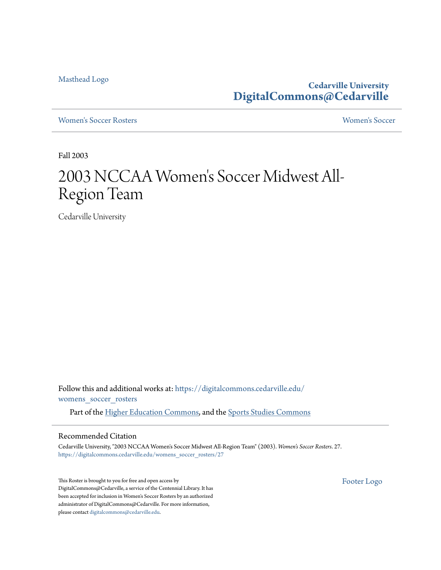[Masthead Logo](http://www.cedarville.edu/?utm_source=digitalcommons.cedarville.edu%2Fwomens_soccer_rosters%2F27&utm_medium=PDF&utm_campaign=PDFCoverPages)

**Cedarville University [DigitalCommons@Cedarville](https://digitalcommons.cedarville.edu?utm_source=digitalcommons.cedarville.edu%2Fwomens_soccer_rosters%2F27&utm_medium=PDF&utm_campaign=PDFCoverPages)**

[Women's Soccer Rosters](https://digitalcommons.cedarville.edu/womens_soccer_rosters?utm_source=digitalcommons.cedarville.edu%2Fwomens_soccer_rosters%2F27&utm_medium=PDF&utm_campaign=PDFCoverPages) [Women's Soccer](https://digitalcommons.cedarville.edu/womens_soccer?utm_source=digitalcommons.cedarville.edu%2Fwomens_soccer_rosters%2F27&utm_medium=PDF&utm_campaign=PDFCoverPages)

Fall 2003

## 2003 NCCAA Women 's Soccer Midwest All-Region Team

Cedarville University

Follow this and additional works at: [https://digitalcommons.cedarville.edu/](https://digitalcommons.cedarville.edu/womens_soccer_rosters?utm_source=digitalcommons.cedarville.edu%2Fwomens_soccer_rosters%2F27&utm_medium=PDF&utm_campaign=PDFCoverPages) [womens\\_soccer\\_rosters](https://digitalcommons.cedarville.edu/womens_soccer_rosters?utm_source=digitalcommons.cedarville.edu%2Fwomens_soccer_rosters%2F27&utm_medium=PDF&utm_campaign=PDFCoverPages)

Part of the [Higher Education Commons](http://network.bepress.com/hgg/discipline/1245?utm_source=digitalcommons.cedarville.edu%2Fwomens_soccer_rosters%2F27&utm_medium=PDF&utm_campaign=PDFCoverPages), and the [Sports Studies Commons](http://network.bepress.com/hgg/discipline/1198?utm_source=digitalcommons.cedarville.edu%2Fwomens_soccer_rosters%2F27&utm_medium=PDF&utm_campaign=PDFCoverPages)

## Recommended Citation

Cedarville University, "2003 NCCAA Women's Soccer Midwest All-Region Team" (2003). *Women's Soccer Rosters*. 27. [https://digitalcommons.cedarville.edu/womens\\_soccer\\_rosters/27](https://digitalcommons.cedarville.edu/womens_soccer_rosters/27?utm_source=digitalcommons.cedarville.edu%2Fwomens_soccer_rosters%2F27&utm_medium=PDF&utm_campaign=PDFCoverPages)

This Roster is brought to you for free and open access by DigitalCommons@Cedarville, a service of the Centennial Library. It has been accepted for inclusion in Women's Soccer Rosters by an authorized administrator of DigitalCommons@Cedarville. For more information, please contact [digitalcommons@cedarville.edu.](mailto:digitalcommons@cedarville.edu)

[Footer Logo](http://www.cedarville.edu/Academics/Library.aspx?utm_source=digitalcommons.cedarville.edu%2Fwomens_soccer_rosters%2F27&utm_medium=PDF&utm_campaign=PDFCoverPages)